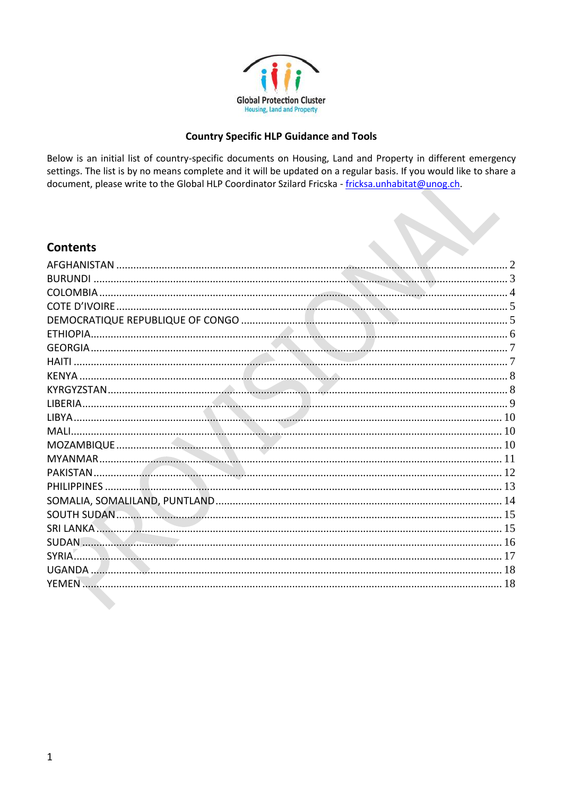

# **Country Specific HLP Guidance and Tools**

Below is an initial list of country-specific documents on Housing, Land and Property in different emergency settings. The list is by no means complete and it will be updated on a regular basis. If you would like to share a document, please write to the Global HLP Coordinator Szilard Fricska - fricksa.unhabitat@unog.ch.

# **Contents**

| <b>BURUNDI</b>     |  |
|--------------------|--|
|                    |  |
| COTE D'IVOIRE.     |  |
|                    |  |
| ETHIOPIA.          |  |
|                    |  |
| HAITI              |  |
|                    |  |
|                    |  |
| LIBERIA            |  |
| <b>TIBYA</b>       |  |
| <b>MALI</b>        |  |
|                    |  |
| MYANMAR.           |  |
| <b>PAKISTAN</b>    |  |
| <b>PHILIPPINES</b> |  |
|                    |  |
|                    |  |
|                    |  |
| <b>SUDAN</b>       |  |
| SYRIA.             |  |
|                    |  |
| <b>YFMFN</b>       |  |
|                    |  |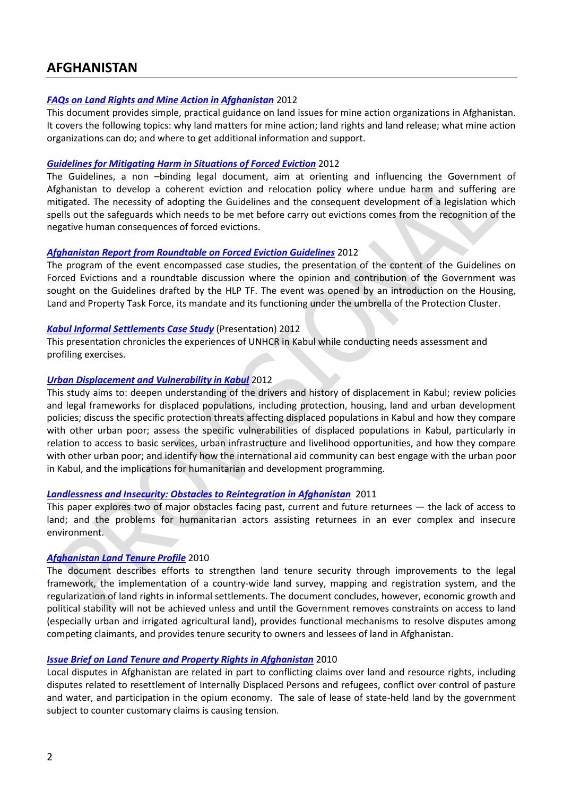# <span id="page-1-0"></span>**AFGHANISTAN**

### *[FAQs on Land Rights and Mine Action in Afghanistan](http://www.globalprotectioncluster.org/_assets/files/aors/housing_land_property/FAQs_Land_Rights_Mine_Action_Afghanistan_2012_EN.pdf)* 2012

This document provides simple, practical guidance on land issues for mine action organizations in Afghanistan. It covers the following topics: why land matters for mine action; land rights and land release; what mine action organizations can do; and where to get additional information and support.

### *[Guidelines for Mitigating Harm in Situations of Forced Eviction](http://www.globalprotectioncluster.org/_assets/files/field_protection_clusters/Afghanistan/files/HLP%20AoR/Guidelines_For_Mitigating_Harm_in_Forced_Evictions_Afghanistan_2012_EN.pdf)* 2012

The Guidelines, a non –binding legal document, aim at orienting and influencing the Government of Afghanistan to develop a coherent eviction and relocation policy where undue harm and suffering are mitigated. The necessity of adopting the Guidelines and the consequent development of a legislation which spells out the safeguards which needs to be met before carry out evictions comes from the recognition of the negative human consequences of forced evictions.

## *[Afghanistan Report from Roundtable on Forced Eviction Guidelines](http://www.globalprotectioncluster.org/_assets/files/field_protection_clusters/Afghanistan/files/HLP%20AoR/Report_From_Roundtable_on_Forced_Evictions_Afghanistan_2012_EN.pdf)* 2012

The program of the event encompassed case studies, the presentation of the content of the Guidelines on Forced Evictions and a roundtable discussion where the opinion and contribution of the Government was sought on the Guidelines drafted by the HLP TF. The event was opened by an introduction on the Housing, Land and Property Task Force, its mandate and its functioning under the umbrella of the Protection Cluster.

## *[Kabul Informal Settlements Case Study](http://www.globalprotectioncluster.org/_assets/files/aors/housing_land_property/Case_Study_Kabul_Informal_Settlements_2012_EN.pdf)* (Presentation) 2012

This presentation chronicles the experiences of UNHCR in Kabul while conducting needs assessment and profiling exercises.

## *[Urban Displacement and Vulnerability in Kabul](http://www.globalprotectioncluster.org/_assets/files/aors/housing_land_property/Urban_Displacement_Vulnerability_Kabul_2012_EN.pdf)* 2012

This study aims to: deepen understanding of the drivers and history of displacement in Kabul; review policies and legal frameworks for displaced populations, including protection, housing, land and urban development policies; discuss the specific protection threats affecting displaced populations in Kabul and how they compare with other urban poor; assess the specific vulnerabilities of displaced populations in Kabul, particularly in relation to access to basic services, urban infrastructure and livelihood opportunities, and how they compare with other urban poor; and identify how the international aid community can best engage with the urban poor in Kabul, and the implications for humanitarian and development programming.

### *[Landlessness and Insecurity: Obstacles to Reintegration in Afghanistan](http://www.globalprotectioncluster.org/_assets/files/aors/housing_land_property/Landlessness_Insecurity_Obstacles_Reintegration_Afghanistan_2011_EN.pdf)* 2011

This paper explores two of major obstacles facing past, current and future returnees ― the lack of access to land; and the problems for humanitarian actors assisting returnees in an ever complex and insecure environment.

# *[Afghanistan Land Tenure Profile](http://www.globalprotectioncluster.org/_assets/files/aors/housing_land_property/Country_Profile_Land%20Tenure_Afghanistan_2010_EN.pdf)* 2010

The document describes efforts to strengthen land tenure security through improvements to the legal framework, the implementation of a country-wide land survey, mapping and registration system, and the regularization of land rights in informal settlements. The document concludes, however, economic growth and political stability will not be achieved unless and until the Government removes constraints on access to land (especially urban and irrigated agricultural land), provides functional mechanisms to resolve disputes among competing claimants, and provides tenure security to owners and lessees of land in Afghanistan.

# *[Issue Brief on Land Tenure and Property Rights in Afghanistan](http://www.globalprotectioncluster.org/_assets/files/aors/housing_land_property/Brief_on_Land_Tenure_Property_Rights_Afghanistan_2010_EN.pdf)* 2010

Local disputes in Afghanistan are related in part to conflicting claims over land and resource rights, including disputes related to resettlement of Internally Displaced Persons and refugees, conflict over control of pasture and water, and participation in the opium economy. The sale of lease of state-held land by the government subject to counter customary claims is causing tension.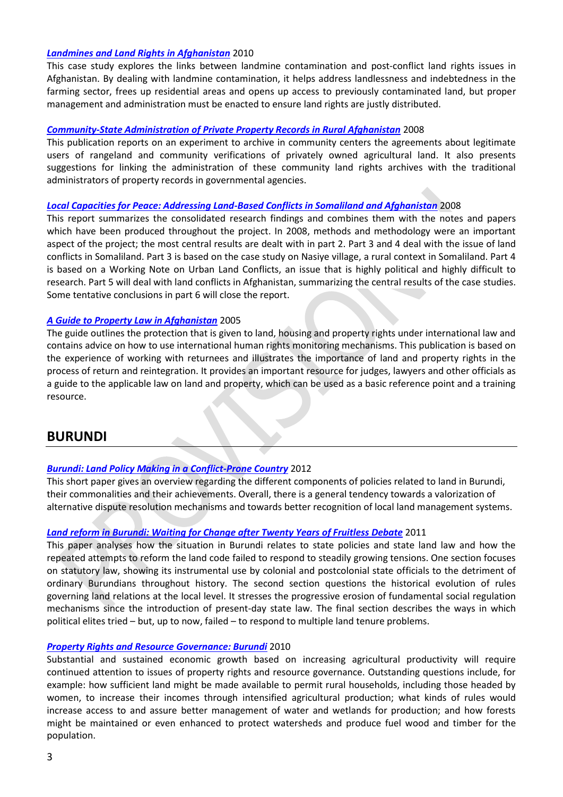### *[Landmines and Land Rights in Afghanistan](http://www.globalprotectioncluster.org/_assets/files/field_protection_clusters/Afghanistan/files/HLP%20AoR/Landmines_Land_Rights_Afghanistan_2010_EN.pdf)* 2010

This case study explores the links between landmine contamination and post-conflict land rights issues in Afghanistan. By dealing with landmine contamination, it helps address landlessness and indebtedness in the farming sector, frees up residential areas and opens up access to previously contaminated land, but proper management and administration must be enacted to ensure land rights are justly distributed.

### *[Community-State Administration of Private Property Records in Rural Afghanistan](http://www.globalprotectioncluster.org/_assets/files/field_protection_clusters/Afghanistan/files/HLP%20AoR/Administration_Private_Property_Records_2008_EN.pdf)* 2008

This publication reports on an experiment to archive in community centers the agreements about legitimate users of rangeland and community verifications of privately owned agricultural land. It also presents suggestions for linking the administration of these community land rights archives with the traditional administrators of property records in governmental agencies.

### *[Local Capacities for Peace: Addressing Land-Based Conflicts in Somaliland and Afghanistan](http://www.globalprotectioncluster.org/_assets/files/field_protection_clusters/Somalia/files/HLP%20AoR/local_capacities_for_peace_2008_EN.pdf)* 2008

This report summarizes the consolidated research findings and combines them with the notes and papers which have been produced throughout the project. In 2008, methods and methodology were an important aspect of the project; the most central results are dealt with in part 2. Part 3 and 4 deal with the issue of land conflicts in Somaliland. Part 3 is based on the case study on Nasiye village, a rural context in Somaliland. Part 4 is based on a Working Note on Urban Land Conflicts, an issue that is highly political and highly difficult to research. Part 5 will deal with land conflicts in Afghanistan, summarizing the central results of the case studies. Some tentative conclusions in part 6 will close the report.

### *[A Guide to Property Law in Afghanistan](http://www.globalprotectioncluster.org/_assets/files/field_protection_clusters/Afghanistan/files/HLP%20AoR/Guide_Property_Law_Afghanistan_2005_EN.pdf)* 2005

The guide outlines the protection that is given to land, housing and property rights under international law and contains advice on how to use international human rights monitoring mechanisms. This publication is based on the experience of working with returnees and illustrates the importance of land and property rights in the process of return and reintegration. It provides an important resource for judges, lawyers and other officials as a guide to the applicable law on land and property, which can be used as a basic reference point and a training resource.

# <span id="page-2-0"></span>**BURUNDI**

### *[Burundi: Land Policy Making in a Conflict-Prone Country](http://www.globalprotectioncluster.org/_assets/files/field_protection_clusters/Burundi/files/HLP%20AoR/Land_Policy_Making_Conflict_Prone_Country_2012_EN.pdf)* 2012

This short paper gives an overview regarding the different components of policies related to land in Burundi, their commonalities and their achievements. Overall, there is a general tendency towards a valorization of alternative dispute resolution mechanisms and towards better recognition of local land management systems.

### *[Land reform in Burundi: Waiting for Change after Twenty Years of Fruitless Debate](http://www.globalprotectioncluster.org/_assets/files/field_protection_clusters/Burundi/files/HLP%20AoR/Land_Reform_Burundi_EN.pdf)* 2011

This paper analyses how the situation in Burundi relates to state policies and state land law and how the repeated attempts to reform the land code failed to respond to steadily growing tensions. One section focuses on statutory law, showing its instrumental use by colonial and postcolonial state officials to the detriment of ordinary Burundians throughout history. The second section questions the historical evolution of rules governing land relations at the local level. It stresses the progressive erosion of fundamental social regulation mechanisms since the introduction of present-day state law. The final section describes the ways in which political elites tried – but, up to now, failed – to respond to multiple land tenure problems.

### *[Property Rights and Resource Governance: Burundi](http://www.globalprotectioncluster.org/_assets/files/field_protection_clusters/Burundi/files/HLP%20AoR/USAID_Land_Tenure_Burundi_Profile_2010_EN.pdf)* 2010

Substantial and sustained economic growth based on increasing agricultural productivity will require continued attention to issues of property rights and resource governance. Outstanding questions include, for example: how sufficient land might be made available to permit rural households, including those headed by women, to increase their incomes through intensified agricultural production; what kinds of rules would increase access to and assure better management of water and wetlands for production; and how forests might be maintained or even enhanced to protect watersheds and produce fuel wood and timber for the population.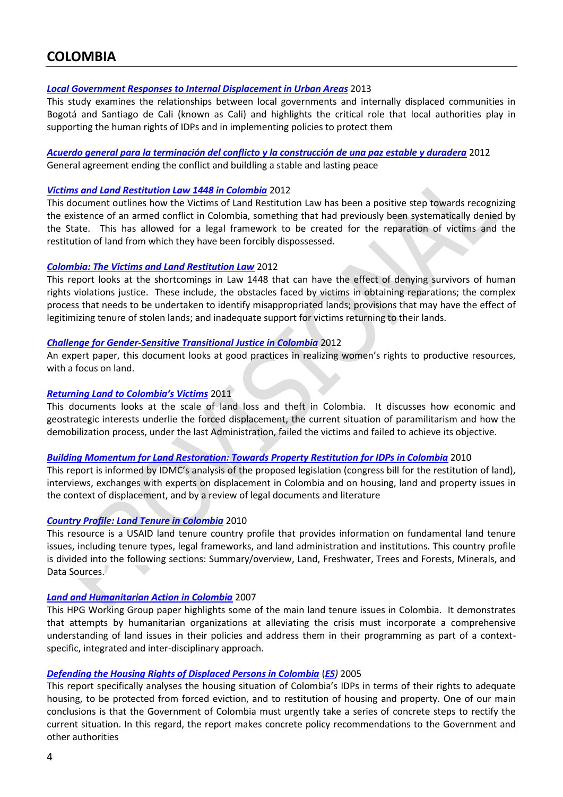# <span id="page-3-0"></span>**COLOMBIA**

### *[Local Government Responses to Internal Displacement in Urban Areas](http://www.globalprotectioncluster.org/_assets/files/field_protection_clusters/Colombia/files/HLP%20AoR/Colombia_Government_Responses_Displacement_Urban_Areas_2013_EN.pdf)* 2013

This study examines the relationships between local governments and internally displaced communities in Bogotá and Santiago de Cali (known as Cali) and highlights the critical role that local authorities play in supporting the human rights of IDPs and in implementing policies to protect them

### *[Acuerdo general para la terminación del conflicto y la construcción de una paz estable y duradera](http://www.globalprotectioncluster.org/_assets/files/field_protection_clusters/Colombia/files/HLP%20AoR/Colombia_Acuerdo_General_Terminacion_Conflicto_2013_ES.pdf)* 2012 General agreement ending the conflict and buildling a stable and lasting peace

### *[Victims and Land Restitution Law 1448 in Colombia](http://www.globalprotectioncluster.org/_assets/files/aors/housing_land_property/Colombia%20HLP/Colombia_and_the_Current_Panorama_2012_EN.pdf)* 2012

This document outlines how the Victims of Land Restitution Law has been a positive step towards recognizing the existence of an armed conflict in Colombia, something that had previously been systematically denied by the State. This has allowed for a legal framework to be created for the reparation of victims and the restitution of land from which they have been forcibly dispossessed.

### *[Colombia: The Victims and Land Restitution Law](http://www.globalprotectioncluster.org/_assets/files/aors/housing_land_property/Colombia%20HLP/Colombia_Victims_&_Land_Restitution_Law_2012_EN.pdf)* 2012

This report looks at the shortcomings in Law 1448 that can have the effect of denying survivors of human rights violations justice. These include, the obstacles faced by victims in obtaining reparations; the complex process that needs to be undertaken to identify misappropriated lands; provisions that may have the effect of legitimizing tenure of stolen lands; and inadequate support for victims returning to their lands.

### *[Challenge for Gender-Sensitive Transitional Justice in Colombia](http://www.globalprotectioncluster.org/_assets/files/field_protection_clusters/Colombia/files/HLP%20AoR/Colombia_Gender_Sensitive_Transitional_Justice_2012_EN.pdf)* 2012

An expert paper, this document looks at good practices in realizing women's rights to productive resources, with a focus on land.

### *[Returning Land to Colombia's Victims](http://www.globalprotectioncluster.org/_assets/files/aors/housing_land_property/Colombia%20HLP/Returning_Land_to_Colombias_Victims_2011_EN.pdf)* 2011

This documents looks at the scale of land loss and theft in Colombia. It discusses how economic and geostrategic interests underlie the forced displacement, the current situation of paramilitarism and how the demobilization process, under the last Administration, failed the victims and failed to achieve its objective.

### *[Building Momentum for Land Restoration: Towards Property Restitution for IDPs in Colombia](http://www.globalprotectioncluster.org/_assets/files/aors/housing_land_property/Colombia%20HLP/Building_Momentum_for_Land_Restoration_2010_EN.pdf)* 2010

This report is informed by IDMC's analysis of the proposed legislation (congress bill for the restitution of land), interviews, exchanges with experts on displacement in Colombia and on housing, land and property issues in the context of displacement, and by a review of legal documents and literature

### *[Country Profile: Land Tenure in Colombia](http://www.globalprotectioncluster.org/_assets/files/aors/housing_land_property/Colombia%20HLP/Country_Profile_Land_Tenure_Colombia_2010_EN.pdf)* 2010

This resource is a USAID land tenure country profile that provides information on fundamental land tenure issues, including tenure types, legal frameworks, and land administration and institutions. This country profile is divided into the following sections: Summary/overview, Land, Freshwater, Trees and Forests, Minerals, and Data Sources.

### *[Land and Humanitarian Action in Colombia](http://www.globalprotectioncluster.org/_assets/files/aors/housing_land_property/Colombia%20HLP/Land_and_Humanitarian_Action_%20in_%20Colombia_2007_EN.pdf)* 2007

This HPG Working Group paper highlights some of the main land tenure issues in Colombia. It demonstrates that attempts by humanitarian organizations at alleviating the crisis must incorporate a comprehensive understanding of land issues in their policies and address them in their programming as part of a contextspecific, integrated and inter-disciplinary approach.

### *[Defending the Housing Rights of Displaced Persons in Colombia](http://www.globalprotectioncluster.org/_assets/files/field_protection_clusters/Colombia/files/HLP%20AoR/Colombia_Defending_Housing_Rights_IDPs_2005_EN.pdf)* (*[ES](http://www.globalprotectioncluster.org/_assets/files/field_protection_clusters/Colombia/files/HLP%20AoR/Colombia_Defending_Housing_Rights_IDPs_2005_ES.pdf))* 2005

This report specifically analyses the housing situation of Colombia's IDPs in terms of their rights to adequate housing, to be protected from forced eviction, and to restitution of housing and property. One of our main conclusions is that the Government of Colombia must urgently take a series of concrete steps to rectify the current situation. In this regard, the report makes concrete policy recommendations to the Government and other authorities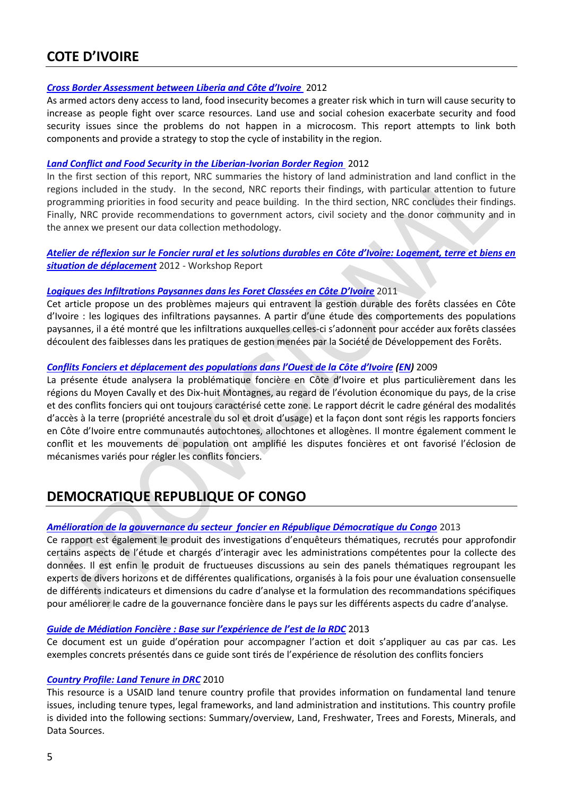# <span id="page-4-0"></span>**COTE D'IVOIRE**

### *[Cross Border Assessment between](http://www.globalprotectioncluster.org/_assets/files/field_protection_clusters/Cote_d_Ivoire/files/HLP%20AoR/Cross_Border_Assessment_Liberia_IvoryCoast_2012_EN.pdf) Liberia and Côte d'Ivoire* 2012

As armed actors deny access to land, food insecurity becomes a greater risk which in turn will cause security to increase as people fight over scarce resources. Land use and social cohesion exacerbate security and food security issues since the problems do not happen in a microcosm. This report attempts to link both components and provide a strategy to stop the cycle of instability in the region.

### *[Land Conflict and Food Security in the Liberian-Ivorian Border Region](http://www.globalprotectioncluster.org/_assets/files/field_protection_clusters/Cote_d_Ivoire/files/HLP%20AoR/Land_Conflict_and_Food_Security_Liberian_Ivoirian_Border_Region_2012_EN.pdf)* 2012

In the first section of this report, NRC summaries the history of land administration and land conflict in the regions included in the study. In the second, NRC reports their findings, with particular attention to future programming priorities in food security and peace building. In the third section, NRC concludes their findings. Finally, NRC provide recommendations to government actors, civil society and the donor community and in the annex we present our data collection methodology.

## *[Atelier de réflexion sur le Foncier rural et les solutions durables en Côte d'Ivoire: Logement, terre et biens en](http://www.globalprotectioncluster.org/_assets/files/field_protection_clusters/Cote_d_Ivoire/files/HLP%20AoR/IvoryCoast_HLP_and_Durable_Solutions_workshop_report_2012_FR.pdf)  [situation de déplacement](http://www.globalprotectioncluster.org/_assets/files/field_protection_clusters/Cote_d_Ivoire/files/HLP%20AoR/IvoryCoast_HLP_and_Durable_Solutions_workshop_report_2012_FR.pdf)* 2012 - Workshop Report

### *[Logiques des Infiltrations Paysannes dans les](http://www.globalprotectioncluster.org/_assets/files/field_protection_clusters/Cote_d_Ivoire/files/HLP%20AoR/Infiltrations_Paysannes_dans_les_Foret_Classees_2011_FR.pdf) Foret Classées en Côte D'Ivoire* 2011

Cet article propose un des problèmes majeurs qui entravent la gestion durable des forêts classées en Côte d'Ivoire : les logiques des infiltrations paysannes. A partir d'une étude des comportements des populations paysannes, il a été montré que les infiltrations auxquelles celles-ci s'adonnent pour accéder aux forêts classées découlent des faiblesses dans les pratiques de gestion menées par la Société de Développement des Forêts.

### *Conflits Fonciers et déplacement des [populations dans l'Ouest de la Côte d'I](http://www.globalprotectioncluster.org/_assets/files/field_protection_clusters/Cote_d_Ivoire/files/HLP%20AoR/Conflits_Fonciers_et_Deplacement_IvoryCoast_2009_FR.pdf)voire [\(EN\)](http://www.globalprotectioncluster.org/_assets/files/field_protection_clusters/Cote_d_Ivoire/files/HLP%20AoR/Land_Disputes_Displacement_Western_Forest_2009_EN.pdf)* 2009

La présente étude analysera la problématique foncière en Côte d'Ivoire et plus particulièrement dans les régions du Moyen Cavally et des Dix-huit Montagnes, au regard de l'évolution économique du pays, de la crise et des conflits fonciers qui ont toujours caractérisé cette zone. Le rapport décrit le cadre général des modalités d'accès à la terre (propriété ancestrale du sol et droit d'usage) et la façon dont sont régis les rapports fonciers en Côte d'Ivoire entre communautés autochtones, allochtones et allogènes. Il montre également comment le conflit et les mouvements de population ont amplifié les disputes foncières et ont favorisé l'éclosion de mécanismes variés pour régler les conflits fonciers.

# <span id="page-4-1"></span>**DEMOCRATIQUE REPUBLIQUE OF CONGO**

### *[Amélioration de la gouvernance du secteur foncier en République Démocratique du Congo](http://www.globalprotectioncluster.org/_assets/files/field_protection_clusters/Democratic_Republic_Congo/files/HLP%20AoR/Amelioration_Cadre_Gouvernance_Fonciere_RDC_2013_FR.pdf)* 2013

Ce rapport est également le produit des investigations d'enquêteurs thématiques, recrutés pour approfondir certains aspects de l'étude et chargés d'interagir avec les administrations compétentes pour la collecte des données. Il est enfin le produit de fructueuses discussions au sein des panels thématiques regroupant les experts de divers horizons et de différentes qualifications, organisés à la fois pour une évaluation consensuelle de différents indicateurs et dimensions du cadre d'analyse et la formulation des recommandations spécifiques pour améliorer le cadre de la gouvernance foncière dans le pays sur les différents aspects du cadre d'analyse.

### *Guide de Médiation Foncière [: Base sur l'expérience de l'est de la RDC](http://www.globalprotectioncluster.org/_assets/files/field_protection_clusters/Democratic_Republic_Congo/files/HLP%20AoR/Guide_Mediation_Fonciere_RDC_2013_FR.pdf)* 2013

Ce document est un guide d'opération pour accompagner l'action et doit s'appliquer au cas par cas. Les exemples concrets présentés dans ce guide sont tirés de l'expérience de résolution des conflits fonciers

### *[Country Profile: Land Tenure in DRC](http://www.globalprotectioncluster.org/_assets/files/field_protection_clusters/Democratic_Republic_Congo/files/HLP%20AoR/Country_Profile_Land_Tenure_DRC_2010_EN.pdf)* 2010

This resource is a USAID land tenure country profile that provides information on fundamental land tenure issues, including tenure types, legal frameworks, and land administration and institutions. This country profile is divided into the following sections: Summary/overview, Land, Freshwater, Trees and Forests, Minerals, and Data Sources.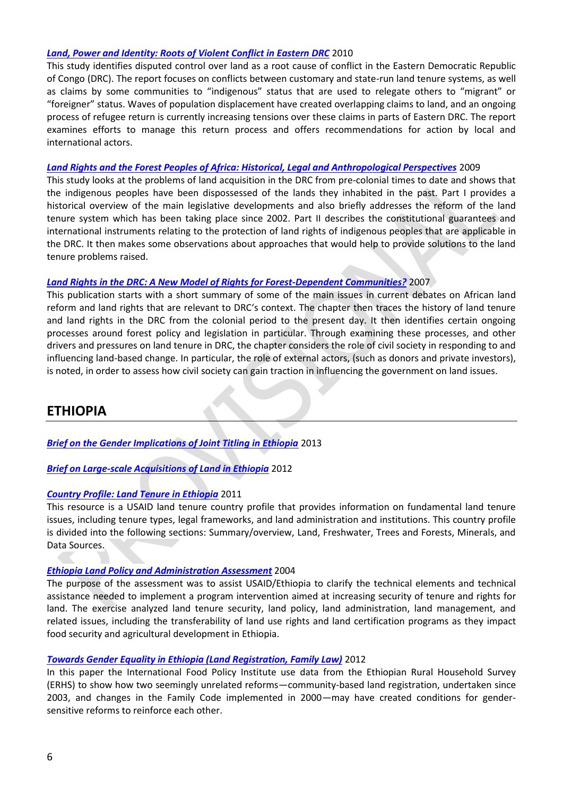### *[Land, Power and Identity: Roots of Violent Conflict in Eastern DRC](http://www.globalprotectioncluster.org/_assets/files/field_protection_clusters/Democratic_Republic_Congo/files/HLP%20AoR/Land_Power_Identity_Roots_Conflict_2010_EN.pdf)* 2010

This study identifies disputed control over land as a root cause of conflict in the Eastern Democratic Republic of Congo (DRC). The report focuses on conflicts between customary and state-run land tenure systems, as well as claims by some communities to "indigenous" status that are used to relegate others to "migrant" or "foreigner" status. Waves of population displacement have created overlapping claims to land, and an ongoing process of refugee return is currently increasing tensions over these claims in parts of Eastern DRC. The report examines efforts to manage this return process and offers recommendations for action by local and international actors.

### *[Land Rights and the Forest Peoples of Africa: Historical, Legal and Anthropological Perspectives](http://www.globalprotectioncluster.org/_assets/files/field_protection_clusters/Democratic_Republic_Congo/files/HLP%20AoR/Land_Rights_Forest_People_2009_EN.pdf)* 2009

This study looks at the problems of land acquisition in the DRC from pre-colonial times to date and shows that the indigenous peoples have been dispossessed of the lands they inhabited in the past. Part I provides a historical overview of the main legislative developments and also briefly addresses the reform of the land tenure system which has been taking place since 2002. Part II describes the constitutional guarantees and international instruments relating to the protection of land rights of indigenous peoples that are applicable in the DRC. It then makes some observations about approaches that would help to provide solutions to the land tenure problems raised.

### *[Land Rights in the DRC: A New Model of Rights for Forest-Dependent Communities?](http://www.globalprotectioncluster.org/_assets/files/field_protection_clusters/Democratic_Republic_Congo/files/HLP%20AoR/Land_Rights_DRC_New_Model_Forest_2007_EN.pdf)* 2007

This publication starts with a short summary of some of the main issues in current debates on African land reform and land rights that are relevant to DRC's context. The chapter then traces the history of land tenure and land rights in the DRC from the colonial period to the present day. It then identifies certain ongoing processes around forest policy and legislation in particular. Through examining these processes, and other drivers and pressures on land tenure in DRC, the chapter considers the role of civil society in responding to and influencing land-based change. In particular, the role of external actors, (such as donors and private investors), is noted, in order to assess how civil society can gain traction in influencing the government on land issues.

# <span id="page-5-0"></span>**ETHIOPIA**

*[Brief on the Gender Implications of Joint Titling in Ethiopia](http://www.globalprotectioncluster.org/_assets/files/field_protection_clusters/Etiophia/files/HLP%20AoR/Ethiopia_Brief_Gender_Implications_Joint_Land_Titling_2013_EN.pdf)* 2013

*[Brief on Large-scale Acquisitions of Land in Ethiopia](http://www.globalprotectioncluster.org/_assets/files/field_protection_clusters/Etiophia/files/HLP%20AoR/Ethiopia_Large_Scale_Land_Acquisitions_2012_EN.pdf)* 2012

### *[Country Profile: Land Tenure in Ethiopia](http://www.globalprotectioncluster.org/_assets/files/field_protection_clusters/Etiophia/files/HLP%20AoR/Country_Profile_Land_Tenure_Ehtiopia_2011_EN.pdf)* 2011

This resource is a USAID land tenure country profile that provides information on fundamental land tenure issues, including tenure types, legal frameworks, and land administration and institutions. This country profile is divided into the following sections: Summary/overview, Land, Freshwater, Trees and Forests, Minerals, and Data Sources.

### *[Ethiopia Land Policy and Administration Assessment](http://www.globalprotectioncluster.org/_assets/files/field_protection_clusters/Etiophia/files/HLP%20AoR/Ethiopia_Land_Policy_Administration_Assessment_2004_EN.pdf)* 2004

The purpose of the assessment was to assist USAID/Ethiopia to clarify the technical elements and technical assistance needed to implement a program intervention aimed at increasing security of tenure and rights for land. The exercise analyzed land tenure security, land policy, land administration, land management, and related issues, including the transferability of land use rights and land certification programs as they impact food security and agricultural development in Ethiopia.

### *[Towards Gender Equality in Ethiopia \(Land Registration, Family Law\)](http://www.globalprotectioncluster.org/_assets/files/field_protection_clusters/Etiophia/files/HLP%20AoR/HLP_Gender_Equality_Land_Registration_Ethiopia_2012_EN.pdf)* 2012

In this paper the International Food Policy Institute use data from the Ethiopian Rural Household Survey (ERHS) to show how two seemingly unrelated reforms—community-based land registration, undertaken since 2003, and changes in the Family Code implemented in 2000—may have created conditions for gendersensitive reforms to reinforce each other.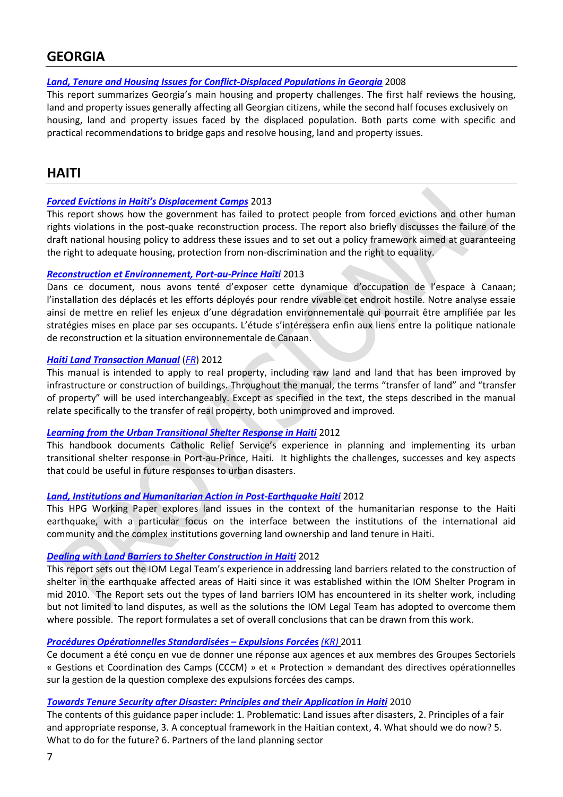# <span id="page-6-0"></span>**GEORGIA**

# *[Land, Tenure and Housing Issues for Conflict-Displaced Populations in Georgia](http://www.globalprotectioncluster.org/_assets/files/field_protection_clusters/Land_Tenure_Housing_Conflict_Displaced_2008_EN.pdf)* 2008

This report summarizes Georgia's main housing and property challenges. The first half reviews the housing, land and property issues generally affecting all Georgian citizens, while the second half focuses exclusively on housing, land and property issues faced by the displaced population. Both parts come with specific and practical recommendations to bridge gaps and resolve housing, land and property issues.

# <span id="page-6-1"></span>**HAITI**

## *[Forced Evictions in Haiti's Displacement Camps](http://www.globalprotectioncluster.org/_assets/files/field_protection_clusters/Haiti/files/HLP%20AoR/Forced_Evictions_Haiti_Displacement_Camps_2013_EN.pdf)* 2013

This report shows how the government has failed to protect people from forced evictions and other human rights violations in the post-quake reconstruction process. The report also briefly discusses the failure of the draft national housing policy to address these issues and to set out a policy framework aimed at guaranteeing the right to adequate housing, protection from non-discrimination and the right to equality.

### *[Reconstruction et Environnement, Port-au-Prince Haïti](http://www.globalprotectioncluster.org/_assets/files/field_protection_clusters/Haiti/files/HLP%20AoR/Haiti_Reconstruction_et_Environment_2013_FR.pdf)* 2013

Dans ce document, nous avons tenté d'exposer cette dynamique d'occupation de l'espace à Canaan; l'installation des déplacés et les efforts déployés pour rendre vivable cet endroit hostile. Notre analyse essaie ainsi de mettre en relief les enjeux d'une dégradation environnementale qui pourrait être amplifiée par les stratégies mises en place par ses occupants. L'étude s'intéressera enfin aux liens entre la politique nationale de reconstruction et la situation environnementale de Canaan.

## *[Haiti Land Transaction Manual](http://www.globalprotectioncluster.org/_assets/files/field_protection_clusters/Haiti/files/HLP%20AoR/Haiti_Land_Transaction_Manual_2012_EN.pdf)* (*[FR](http://www.globalprotectioncluster.org/_assets/files/field_protection_clusters/Haiti/files/HLP%20AoR/Haiti_Manuel_Transactions_Foncieres_2012_FR.pdf)*) 2012

This manual is intended to apply to real property, including raw land and land that has been improved by infrastructure or construction of buildings. Throughout the manual, the terms "transfer of land" and "transfer of property" will be used interchangeably. Except as specified in the text, the steps described in the manual relate specifically to the transfer of real property, both unimproved and improved.

# *[Learning from the Urban Transitional Shelter Response in Haiti](http://www.globalprotectioncluster.org/_assets/files/field_protection_clusters/Haiti/files/HLP%20AoR/HLP_Issues_Urban_Transitional_Shelter_Response_2012_EN.pdf)* 2012

This handbook documents Catholic Relief Service's experience in planning and implementing its urban transitional shelter response in Port-au-Prince, Haiti. It highlights the challenges, successes and key aspects that could be useful in future responses to urban disasters.

### *[Land, Institutions and Humanitarian Action in Post-Earthquake Haiti](http://www.globalprotectioncluster.org/_assets/files/field_protection_clusters/Haiti/files/HLP%20AoR/Land_Institutions_&_Humanitarian_Action_HPW_Report_2013_EN.pdf)* 2012

This HPG Working Paper explores land issues in the context of the humanitarian response to the Haiti earthquake, with a particular focus on the interface between the institutions of the international aid community and the complex institutions governing land ownership and land tenure in Haiti.

### *[Dealing with Land Barriers to Shelter Construction in Haiti](http://www.globalprotectioncluster.org/_assets/files/field_protection_clusters/Haiti/files/HLP%20AoR/Haiti_Land_Barriers_to_Shelter_Construction_2012_EN.pdf)* 2012

This report sets out the IOM Legal Team's experience in addressing land barriers related to the construction of shelter in the earthquake affected areas of Haiti since it was established within the IOM Shelter Program in mid 2010. The Report sets out the types of land barriers IOM has encountered in its shelter work, including but not limited to land disputes, as well as the solutions the IOM Legal Team has adopted to overcome them where possible. The report formulates a set of overall conclusions that can be drawn from this work.

### *[Procédures Opérationnelles Standardisées](http://www.onuhabitat.org/index.php?option=com_content&view=article&id=430:procedures-operationnelles-standardisees-pour-une-reponse-coordonnee-aux-expulsions-forcees&catid=221:noticias&Itemid=294) – Expulsions Forcées [\(KR\)](http://www.onuhabitat.org/index.php?option=com_docman&task=cat_view&gid=223&Itemid=235)* 2011

Ce document a été conçu en vue de donner une réponse aux agences et aux membres des Groupes Sectoriels « Gestions et Coordination des Camps (CCCM) » et « Protection » demandant des directives opérationnelles sur la gestion de la question complexe des expulsions forcées des camps.

### *[Towards Tenure Security after Disaster: Principles and their Application in Haiti](http://www.globalprotectioncluster.org/_assets/files/field_protection_clusters/Haiti/files/HLP%20AoR/Towards_Tenure_Security_Post_Disaster_Haiti_2010_EN.pdf)* 2010

The contents of this guidance paper include: 1. Problematic: Land issues after disasters, 2. Principles of a fair and appropriate response, 3. A conceptual framework in the Haitian context, 4. What should we do now? 5. What to do for the future? 6. Partners of the land planning sector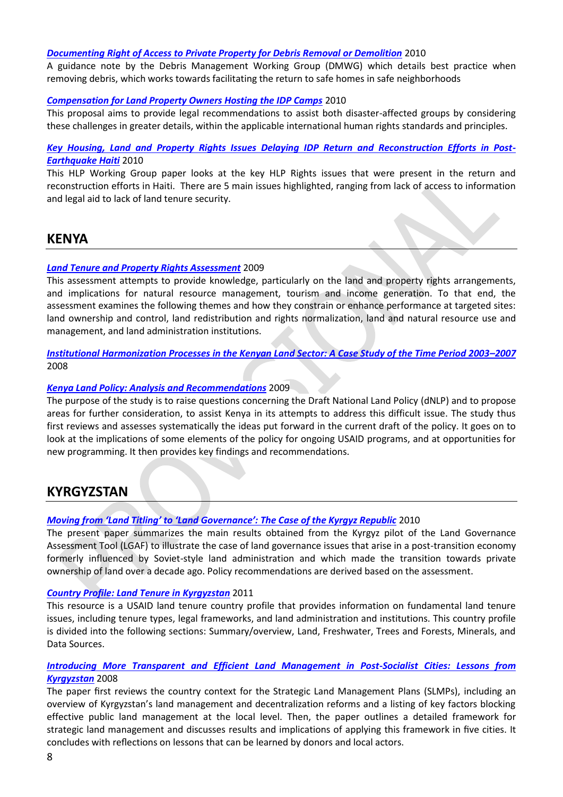### *[Documenting Right of Access to Private Property for Debris Removal or Demolition](http://www.globalprotectioncluster.org/_assets/files/field_protection_clusters/Haiti/files/HLP%20AoR/Haiti_Right_Access_Private_Property_Debris_Removal_2010_EN.pdf)* 2010

A guidance note by the Debris Management Working Group (DMWG) which details best practice when removing debris, which works towards facilitating the return to safe homes in safe neighborhoods

### *[Compensation for Land Property Owners Hosting the IDP Camps](http://www.globalprotectioncluster.org/_assets/files/field_protection_clusters/Haiti/files/HLP%20AoR/Haiti_Compensation_Land_Property_Owners_Evictions_2010_EN.pdf)* 2010

This proposal aims to provide legal recommendations to assist both disaster-affected groups by considering these challenges in greater details, within the applicable international human rights standards and principles.

# *[Key Housing, Land and Property Rights Issues Delaying IDP Return and Reconstruction Efforts in Post-](http://www.globalprotectioncluster.org/_assets/files/field_protection_clusters/Haiti/files/HLP%20AoR/Haiti_HLP_WG_Key_HLP_Issues_IDP_Return_2010_EN.pdf)[Earthquake Haiti](http://www.globalprotectioncluster.org/_assets/files/field_protection_clusters/Haiti/files/HLP%20AoR/Haiti_HLP_WG_Key_HLP_Issues_IDP_Return_2010_EN.pdf)* 2010

This HLP Working Group paper looks at the key HLP Rights issues that were present in the return and reconstruction efforts in Haiti. There are 5 main issues highlighted, ranging from lack of access to information and legal aid to lack of land tenure security.

# <span id="page-7-0"></span>**KENYA**

## *[Land Tenure and Property Rights Assessment](http://www.globalprotectioncluster.org/_assets/files/field_protection_clusters/Kenya/files/HLP%20AoR/Land_Tenure_Property_Rights_2009_EN.pdf)* 2009

This assessment attempts to provide knowledge, particularly on the land and property rights arrangements, and implications for natural resource management, tourism and income generation. To that end, the assessment examines the following themes and how they constrain or enhance performance at targeted sites: land ownership and control, land redistribution and rights normalization, land and natural resource use and management, and land administration institutions.

## *[Institutional Harmonization Processes in the Kenyan Land Sector: A Case Study of the Time Period 2003](http://www.globalprotectioncluster.org/_assets/files/field_protection_clusters/Kenya/files/HLP%20AoR/Institutional_Harmonisation_Land_Sector_2008_EN.pdf)–2007* 2008

### *[Kenya Land Policy: Analysis and Recommendations](http://pdf.usaid.gov/pdf_docs/PNADP494.pdf)* 2009

The purpose of the study is to raise questions concerning the Draft National Land Policy (dNLP) and to propose areas for further consideration, to assist Kenya in its attempts to address this difficult issue. The study thus first reviews and assesses systematically the ideas put forward in the current draft of the policy. It goes on to look at the implications of some elements of the policy for ongoing USAID programs, and at opportunities for new programming. It then provides key findings and recommendations.

# <span id="page-7-1"></span>**KYRGYZSTAN**

# *[Moving from 'Land Titling' to 'Land Governance': The Case of the Kyrgyz Republic](http://www.globalprotectioncluster.org/_assets/files/field_protection_clusters/Kyrgyzstan/files/HLP%20AoR/Moving_Land_Titling_Land_Governance_2010_EN.pdf)* 2010

The present paper summarizes the main results obtained from the Kyrgyz pilot of the Land Governance Assessment Tool (LGAF) to illustrate the case of land governance issues that arise in a post-transition economy formerly influenced by Soviet-style land administration and which made the transition towards private ownership of land over a decade ago. Policy recommendations are derived based on the assessment.

### *[Country Profile: Land Tenure in Kyrgyzstan](http://www.globalprotectioncluster.org/_assets/files/field_protection_clusters/Kyrgyzstan/files/HLP%20AoR/USAID_Land_Tenure_Kyrgyzstan_Profile_2011_EN.pdf)* 2011

This resource is a USAID land tenure country profile that provides information on fundamental land tenure issues, including tenure types, legal frameworks, and land administration and institutions. This country profile is divided into the following sections: Summary/overview, Land, Freshwater, Trees and Forests, Minerals, and Data Sources.

## *[Introducing More Transparent and Efficient Land Management in Post-Socialist Cities: Lessons from](http://www.globalprotectioncluster.org/_assets/files/field_protection_clusters/Kyrgyzstan/files/HLP%20AoR/Introducing_Transparent_Efficient_Land_Management_EN.pdf)  [Kyrgyzstan](http://www.globalprotectioncluster.org/_assets/files/field_protection_clusters/Kyrgyzstan/files/HLP%20AoR/Introducing_Transparent_Efficient_Land_Management_EN.pdf)* 2008

The paper first reviews the country context for the Strategic Land Management Plans (SLMPs), including an overview of Kyrgyzstan's land management and decentralization reforms and a listing of key factors blocking effective public land management at the local level. Then, the paper outlines a detailed framework for strategic land management and discusses results and implications of applying this framework in five cities. It concludes with reflections on lessons that can be learned by donors and local actors.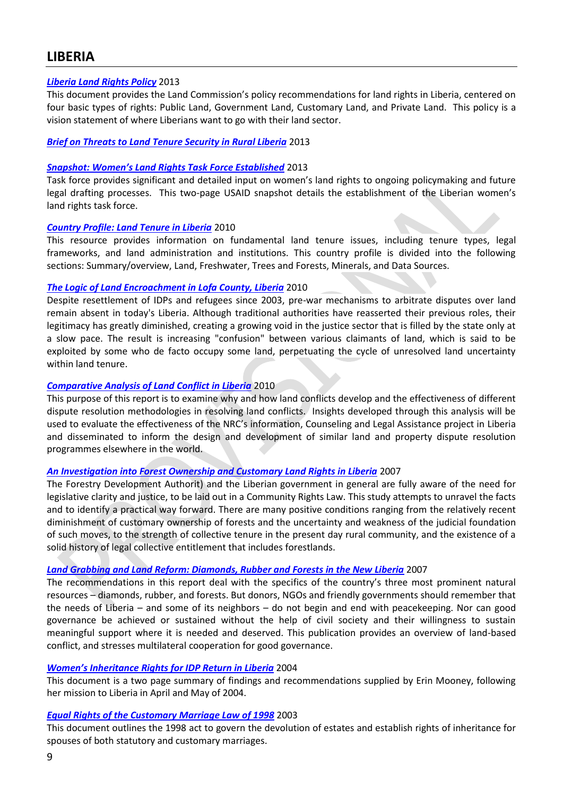# <span id="page-8-0"></span>**LIBERIA**

### *[Liberia Land Rights Policy](http://www.globalprotectioncluster.org/_assets/files/field_protection_clusters/Liberia/Liberia_Land_Rights_Policy_2013_EN.pdf)* 2013

This document provides the Land Commission's policy recommendations for land rights in Liberia, centered on four basic types of rights: Public Land, Government Land, Customary Land, and Private Land. This policy is a vision statement of where Liberians want to go with their land sector.

### *Brief on Threats to Land [Tenure Security in Rural Liberia](http://www.globalprotectioncluster.org/_assets/files/field_protection_clusters/Liberia/Liberia_Brief_Threats_to_Land_Tenure_2013_EN.pdf)* 2013

### *Snapshot: [Women's Land Rights Task Force Established](http://www.globalprotectioncluster.org/_assets/files/field_protection_clusters/Liberia/Liberia_Women)* 2013

Task force provides significant and detailed input on women's land rights to ongoing policymaking and future legal drafting processes. This two-page USAID snapshot details the establishment of the Liberian women's land rights task force.

### *[Country Profile: Land Tenure in Liberia](http://www.globalprotectioncluster.org/_assets/files/field_protection_clusters/Liberia/Country_Profile_Land_Tenure_Liberia_2010_EN.pdf)* 2010

This resource provides information on fundamental land tenure issues, including tenure types, legal frameworks, and land administration and institutions. This country profile is divided into the following sections: Summary/overview, Land, Freshwater, Trees and Forests, Minerals, and Data Sources.

### *[The Logic of Land Encroachment in Lofa County, Liberia](http://www.globalprotectioncluster.org/_assets/files/field_protection_clusters/Liberia/Logic_of_Land_Encroachment_Liberia_2010_EN.pdf)* 2010

Despite resettlement of IDPs and refugees since 2003, pre-war mechanisms to arbitrate disputes over land remain absent in today's Liberia. Although traditional authorities have reasserted their previous roles, their legitimacy has greatly diminished, creating a growing void in the justice sector that is filled by the state only at a slow pace. The result is increasing "confusion" between various claimants of land, which is said to be exploited by some who de facto occupy some land, perpetuating the cycle of unresolved land uncertainty within land tenure.

### *[Comparative Analysis of Land Conflict in Liberia](http://www.globalprotectioncluster.org/_assets/files/field_protection_clusters/Liberia/Comparative_Analysis_Land_Conflicts_Liberia_2010_EN.pdf)* 2010

This purpose of this report is to examine why and how land conflicts develop and the effectiveness of different dispute resolution methodologies in resolving land conflicts. Insights developed through this analysis will be used to evaluate the effectiveness of the NRC's information, Counseling and Legal Assistance project in Liberia and disseminated to inform the design and development of similar land and property dispute resolution programmes elsewhere in the world.

### *[An Investigation into Forest Ownership and Customary Land Rights in Liberia](http://www.globalprotectioncluster.org/_assets/files/field_protection_clusters/Liberia/Investigation_Forest_Ownership_2007_EN.pdf)* 2007

The Forestry Development Authorit) and the Liberian government in general are fully aware of the need for legislative clarity and justice, to be laid out in a Community Rights Law. This study attempts to unravel the facts and to identify a practical way forward. There are many positive conditions ranging from the relatively recent diminishment of customary ownership of forests and the uncertainty and weakness of the judicial foundation of such moves, to the strength of collective tenure in the present day rural community, and the existence of a solid history of legal collective entitlement that includes forestlands.

### *[Land Grabbing and Land Reform: Diamonds, Rubber and Forests in the New Liberia](http://www.globalprotectioncluster.org/_assets/files/field_protection_clusters/Liberia/Land_Grabbing_Land_Reform_2007_EN.pdf)* 2007

The recommendations in this report deal with the specifics of the country's three most prominent natural resources – diamonds, rubber, and forests. But donors, NGOs and friendly governments should remember that the needs of Liberia – and some of its neighbors – do not begin and end with peacekeeping. Nor can good governance be achieved or sustained without the help of civil society and their willingness to sustain meaningful support where it is needed and deserved. This publication provides an overview of land-based conflict, and stresses multilateral cooperation for good governance.

### *[Women's Inheritance Rights for IDP Return in Liberia](http://www.globalprotectioncluster.org/_assets/files/field_protection_clusters/Liberia/Women_s_Inheritance_Rights_IDP_Return_Liberia_2004_EN.pdf)* 2004

This document is a two page summary of findings and recommendations supplied by Erin Mooney, following her mission to Liberia in April and May of 2004.

### *[Equal Rights of the Customary Marriage Law of 1998](http://www.globalprotectioncluster.org/_assets/files/field_protection_clusters/Liberia/Liberia_Equal_Rights_Customary_Marriage_Law_2003_EN.pdf)* 2003

This document outlines the 1998 act to govern the devolution of estates and establish rights of inheritance for spouses of both statutory and customary marriages.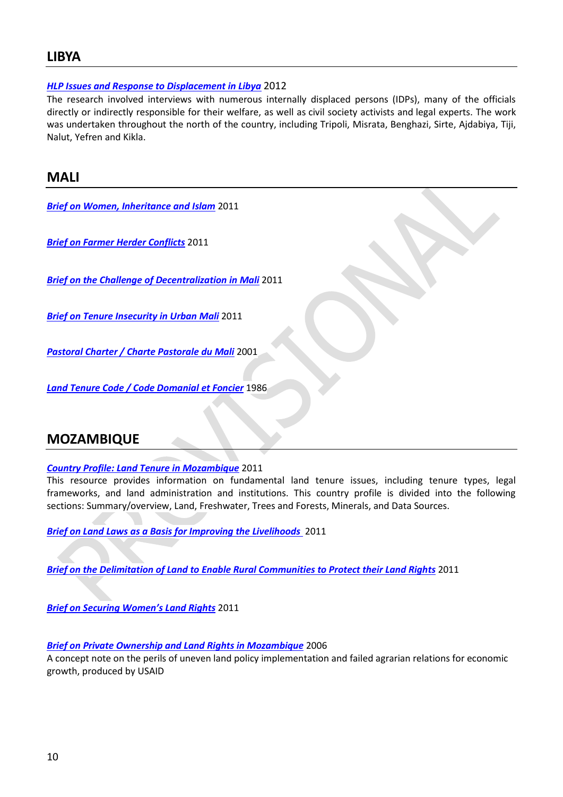# <span id="page-9-0"></span>**LIBYA**

## *[HLP Issues and Response to Displacement in Libya](http://www.globalprotectioncluster.org/_assets/files/field_protection_clusters/Libya/files/HLP%20AoR/Libya_HLP_Issues_&_Displacement_%202012_EN.pdf)* 2012

The research involved interviews with numerous internally displaced persons (IDPs), many of the officials directly or indirectly responsible for their welfare, as well as civil society activists and legal experts. The work was undertaken throughout the north of the country, including Tripoli, Misrata, Benghazi, Sirte, Ajdabiya, Tiji, Nalut, Yefren and Kikla.

# <span id="page-9-1"></span>**MALI**

*Brief on Women, [Inheritance](http://www.globalprotectioncluster.org/_assets/files/field_protection_clusters/Mali/files/HLP%20AoR/Mali_Brief_Women_Inheritance_and_Islam_2011_EN.pdf) and Islam* 2011

*Brief on Farmer Herder [Conflicts](http://www.globalprotectioncluster.org/_assets/files/field_protection_clusters/Mali/files/HLP%20AoR/Mali_Brief_Farmer_Herder_Conflicts_2011_EN.pdf)* 2011

*Brief on the Challenge of [Decentralization](http://www.globalprotectioncluster.org/_assets/files/field_protection_clusters/Mali/files/HLP%20AoR/Mali_Brief_Decentralization_Land_Management_2011_EN.pdf) in Mali* 2011

*Brief on Tenure [Insecurity](http://www.globalprotectioncluster.org/_assets/files/field_protection_clusters/Mali/files/HLP%20AoR/Brief_Tenure_Insecurity_in_Urban_Mali_2011_EN.pdf) in Urban Mali* 2011

*Pastoral Charter / Charte [Pastorale](http://www.globalprotectioncluster.org/_assets/files/field_protection_clusters/Mali/files/HLP%20AoR/Mali_Pastoral_Charter_2001_FR.pdf) du Mali* 2001

*Land Tenure Code / Code [Domanial](http://www.globalprotectioncluster.org/_assets/files/field_protection_clusters/Mali/files/HLP%20AoR/Mali_Land_Tenure_Code_1986_FR.pdf) et Foncier* 1986

# <span id="page-9-2"></span>**MOZAMBIQUE**

### *[Country Profile: Land Tenure in Mozambique](http://www.globalprotectioncluster.org/_assets/files/field_protection_clusters/Mozambique/files/HLP%20AoR/Land_Tenure_Profile_Mozmabique_2011_EN.pdf)* 2011

This resource provides information on fundamental land tenure issues, including tenure types, legal frameworks, and land administration and institutions. This country profile is divided into the following sections: Summary/overview, Land, Freshwater, Trees and Forests, Minerals, and Data Sources.

*Brief [on Land Laws as a Basis for Improving the Livelihoods](http://www.globalprotectioncluster.org/_assets/files/field_protection_clusters/Mozambique/files/HLP%20AoR/Mozambique_Brief_Land_Law_2011_EN.pdf)* 2011

*Brief on the Delimitation of Land to Enable [Rural Communities to Protect their Land Rights](http://www.globalprotectioncluster.org/_assets/files/field_protection_clusters/Mozambique/files/HLP%20AoR/Mozambique_Brief_Delimitation_Land_2011_EN.pdf)* 2011

*Brief on S[ecuring Women's Land Rig](http://www.globalprotectioncluster.org/_assets/files/field_protection_clusters/Mozambique/files/HLP%20AoR/Mozambique_Brief_Securing_Womens_Land_Rights_2011_EN.pdf)hts* 2011

### *[Brief on Private Ownership and Land Rights in Mozambique](http://www.globalprotectioncluster.org/_assets/files/field_protection_clusters/Mozambique/files/HLP%20AoR/Myth_of_Private_Ownership_Mozambique_2006_EN.pdf)* 2006

A concept note on the perils of uneven land policy implementation and failed agrarian relations for economic growth, produced by USAID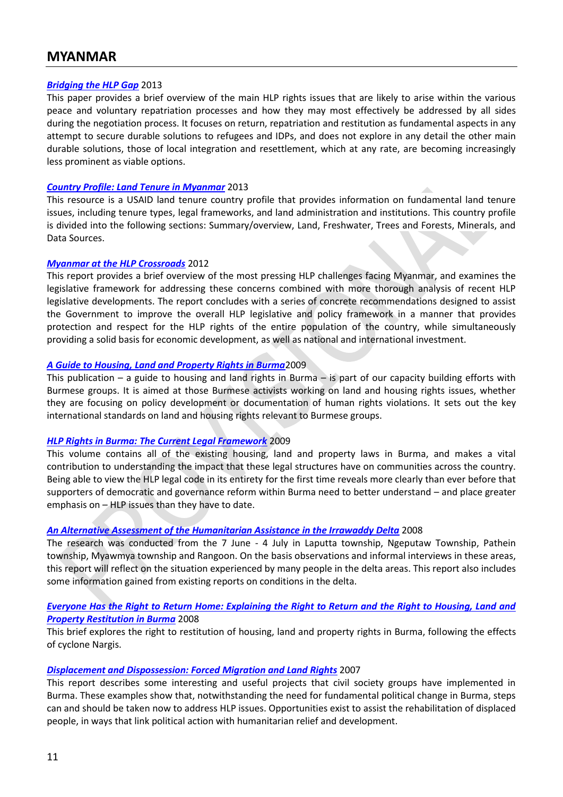# <span id="page-10-0"></span>**MYANMAR**

### *[Bridging the HLP Gap](http://www.globalprotectioncluster.org/_assets/files/field_protection_clusters/Myanmar/files/HLP%20AoR/Bridging_HLP_Gap_Myanmar_2013_EN.pdf)* 2013

This paper provides a brief overview of the main HLP rights issues that are likely to arise within the various peace and voluntary repatriation processes and how they may most effectively be addressed by all sides during the negotiation process. It focuses on return, repatriation and restitution as fundamental aspects in any attempt to secure durable solutions to refugees and IDPs, and does not explore in any detail the other main durable solutions, those of local integration and resettlement, which at any rate, are becoming increasingly less prominent as viable options.

### *[Country Profile: Land Tenure in Myanmar](http://www.globalprotectioncluster.org/_assets/files/field_protection_clusters/Myanmar/files/HLP%20AoR/Land_Tenure_Profile_Myanmar_2013_EN.pdf)* 2013

This resource is a USAID land tenure country profile that provides information on fundamental land tenure issues, including tenure types, legal frameworks, and land administration and institutions. This country profile is divided into the following sections: Summary/overview, Land, Freshwater, Trees and Forests, Minerals, and Data Sources.

### *[Myanmar at the HLP Crossroads](http://www.globalprotectioncluster.org/_assets/files/field_protection_clusters/Myanmar/files/HLP%20AoR/HLP_Crossroads_Myanmar_2012_EN.pdf)* 2012

This report provides a brief overview of the most pressing HLP challenges facing Myanmar, and examines the legislative framework for addressing these concerns combined with more thorough analysis of recent HLP legislative developments. The report concludes with a series of concrete recommendations designed to assist the Government to improve the overall HLP legislative and policy framework in a manner that provides protection and respect for the HLP rights of the entire population of the country, while simultaneously providing a solid basis for economic development, as well as national and international investment.

### *[A Guide to Housing, Land and Property Rights in Burma](http://www.globalprotectioncluster.org/_assets/files/field_protection_clusters/Myanmar/files/HLP%20AoR/Myanmar_Guide_HLP_Rights_2009_EN.pdf)*2009

This publication – a guide to housing and land rights in Burma – is part of our capacity building efforts with Burmese groups. It is aimed at those Burmese activists working on land and housing rights issues, whether they are focusing on policy development or documentation of human rights violations. It sets out the key international standards on land and housing rights relevant to Burmese groups.

### *[HLP Rights in Burma: The Current Legal Framework](http://displacementsolutions.org/wp-content/uploads/2010/01/Burma_HLP_book.pdf)* 2009

This volume contains all of the existing housing, land and property laws in Burma, and makes a vital contribution to understanding the impact that these legal structures have on communities across the country. Being able to view the HLP legal code in its entirety for the first time reveals more clearly than ever before that supporters of democratic and governance reform within Burma need to better understand – and place greater emphasis on – HLP issues than they have to date.

### *[An Alternative Assessment of the Humanitarian Assistance in the Irrawaddy Delta](http://www.globalprotectioncluster.org/_assets/files/field_protection_clusters/Myanmar/files/HLP%20AoR/Myanmar_Cyclone_Nargis_Alternative_Assessment_2008_EN.pdf)* 2008

The research was conducted from the 7 June - 4 July in Laputta township, Ngeputaw Township, Pathein township, Myawmya township and Rangoon. On the basis observations and informal interviews in these areas, this report will reflect on the situation experienced by many people in the delta areas. This report also includes some information gained from existing reports on conditions in the delta.

### *[Everyone Has the Right to Return Home: Explaining the Right to Return and the Right to Housing, Land and](http://www.globalprotectioncluster.org/_assets/files/field_protection_clusters/Myanmar/files/HLP%20AoR/Myanmar_Return_and_HLP_Restitution_2008_EN.pdf)  [Property Restitution in Burma](http://www.globalprotectioncluster.org/_assets/files/field_protection_clusters/Myanmar/files/HLP%20AoR/Myanmar_Return_and_HLP_Restitution_2008_EN.pdf)* 2008

This brief explores the right to restitution of housing, land and property rights in Burma, following the effects of cyclone Nargis.

### *[Displacement and Dispossession: Forced Migration and Land Rights](http://www.globalprotectioncluster.org/_assets/files/field_protection_clusters/Myanmar/files/HLP%20AoR/Myanmar_Displacement_and_Dispossession_Land_rights_2007_EN.pdf)* 2007

This report describes some interesting and useful projects that civil society groups have implemented in Burma. These examples show that, notwithstanding the need for fundamental political change in Burma, steps can and should be taken now to address HLP issues. Opportunities exist to assist the rehabilitation of displaced people, in ways that link political action with humanitarian relief and development.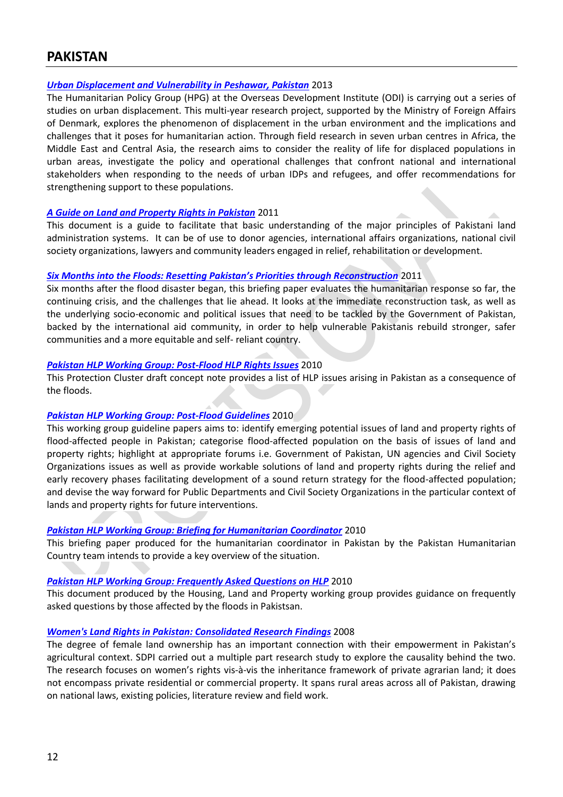# <span id="page-11-0"></span>**PAKISTAN**

### *[Urban Displacement and Vulnerability in Peshawar, Pakistan](http://www.globalprotectioncluster.org/_assets/files/field_protection_clusters/Pakistan/files/HLP%20AoR/Sanctuary_in_the_City_Urban_Displacement_and_Vulnerability_2013_EN.pdf)* 2013

The Humanitarian Policy Group (HPG) at the Overseas Development Institute (ODI) is carrying out a series of studies on urban displacement. This multi-year research project, supported by the Ministry of Foreign Affairs of Denmark, explores the phenomenon of displacement in the urban environment and the implications and challenges that it poses for humanitarian action. Through field research in seven urban centres in Africa, the Middle East and Central Asia, the research aims to consider the reality of life for displaced populations in urban areas, investigate the policy and operational challenges that confront national and international stakeholders when responding to the needs of urban IDPs and refugees, and offer recommendations for strengthening support to these populations.

### *A Guide on [Land and Property Rights in Pakistan](http://www.globalprotectioncluster.org/_assets/files/field_protection_clusters/Pakistan/files/HLP%20AoR/Guide_Land_Property_Rights_2011_EN.pdf)* 2011

This document is a guide to facilitate that basic understanding of the major principles of Pakistani land administration systems. It can be of use to donor agencies, international affairs organizations, national civil society organizations, lawyers and community leaders engaged in relief, rehabilitation or development.

### *[Six Months into the Floods: Resetting Pakistan's Priorities through Reconstruction](http://www.globalprotectioncluster.org/_assets/files/field_protection_clusters/Pakistan/files/HLP%20AoR/Resetting_Pakistans_Priorities_Reconstruction_2011_EN.pdf)* 2011

Six months after the flood disaster began, this briefing paper evaluates the humanitarian response so far, the continuing crisis, and the challenges that lie ahead. It looks at the immediate reconstruction task, as well as the underlying socio-economic and political issues that need to be tackled by the Government of Pakistan, backed by the international aid community, in order to help vulnerable Pakistanis rebuild stronger, safer communities and a more equitable and self- reliant country.

### *[Pakistan HLP Working Group: Post-Flood HLP](http://www.globalprotectioncluster.org/_assets/files/field_protection_clusters/Pakistan/files/HLP%20AoR/Pakistan_HLP_WG_Post_Flood_Issues_2010_EN.pdf) Rights Issues* 2010

This Protection Cluster draft concept note provides a list of HLP issues arising in Pakistan as a consequence of the floods.

### *Pakistan [HLP Working Group: Post-Flood Guidelines](http://www.globalprotectioncluster.org/_assets/files/field_protection_clusters/Pakistan/files/HLP%20AoR/Pakistan_HLP_WG_Post_Flood_Guidelines_EN.pdf)* 2010

This working group guideline papers aims to: identify emerging potential issues of land and property rights of flood-affected people in Pakistan; categorise flood-affected population on the basis of issues of land and property rights; highlight at appropriate forums i.e. Government of Pakistan, UN agencies and Civil Society Organizations issues as well as provide workable solutions of land and property rights during the relief and early recovery phases facilitating development of a sound return strategy for the flood-affected population; and devise the way forward for Public Departments and Civil Society Organizations in the particular context of lands and property rights for future interventions.

### *[Pakistan HLP Working Group: Briefing for Humanitarian Coordinator](http://www.globalprotectioncluster.org/_assets/files/field_protection_clusters/Pakistan/files/HLP%20AoR/Pakistan_HLP_WG_Briefing_for_HC_2010_EN.pdf)* 2010

This briefing paper produced for the humanitarian coordinator in Pakistan by the Pakistan Humanitarian Country team intends to provide a key overview of the situation.

### *[Pakistan HLP Working Group: Frequently Asked Questions on HLP](http://www.globalprotectioncluster.org/_assets/files/field_protection_clusters/Pakistan/files/HLP%20AoR/Pakistan_HLP_WG_FAQs_on_HLP_2012_EN.pdf)* 2010

This document produced by the Housing, Land and Property working group provides guidance on frequently asked questions by those affected by the floods in Pakistsan.

### *[Women's Land Rights in Pakistan: Consolidated Research Findings](http://www.globalprotectioncluster.org/_assets/files/field_protection_clusters/Pakistan/files/HLP%20AoR/Womens_Land_Rights_Consolidated_Research_2008_EN.pdf)* 2008

The degree of female land ownership has an important connection with their empowerment in Pakistan's agricultural context. SDPI carried out a multiple part research study to explore the causality behind the two. The research focuses on women's rights vis-à-vis the inheritance framework of private agrarian land; it does not encompass private residential or commercial property. It spans rural areas across all of Pakistan, drawing on national laws, existing policies, literature review and field work.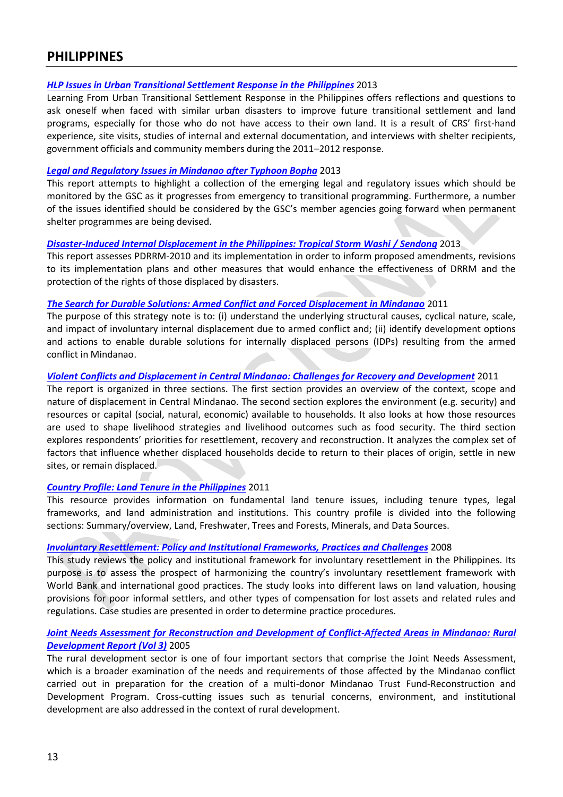# <span id="page-12-0"></span>**PHILIPPINES**

### *[HLP Issues in Urban Transitional Settlement Response in the Philippines](http://www.globalprotectioncluster.org/_assets/files/field_protection_clusters/Philippines/files/HLP%20AoR/HLP_Issues_Urban_Transitional_Settlement_Response_2012_EN.pdf)* 2013

Learning From Urban Transitional Settlement Response in the Philippines offers reflections and questions to ask oneself when faced with similar urban disasters to improve future transitional settlement and land programs, especially for those who do not have access to their own land. It is a result of CRS' first-hand experience, site visits, studies of internal and external documentation, and interviews with shelter recipients, government officials and community members during the 2011–2012 response.

### *[Legal and Regulatory Issues in Mindanao](http://www.globalprotectioncluster.org/_assets/files/field_protection_clusters/Philippines/files/HLP%20AoR/Legal_Regulatory_Issues_Mindanao_Typhoon_Bopha_2013_EN.pdf) after Typhoon Bopha* 2013

This report attempts to highlight a collection of the emerging legal and regulatory issues which should be monitored by the GSC as it progresses from emergency to transitional programming. Furthermore, a number of the issues identified should be considered by the GSC's member agencies going forward when permanent shelter programmes are being devised.

## *[Disaster-Induced Internal Displacement in the Philippines: Tropical Storm Washi](http://www.globalprotectioncluster.org/_assets/files/field_protection_clusters/Philippines/files/HLP%20AoR/Disaster_Induced_Internal_Displacement_Philippines_2013_EN.pdf) / Sendong* 2013

This report assesses PDRRM-2010 and its implementation in order to inform proposed amendments, revisions to its implementation plans and other measures that would enhance the effectiveness of DRRM and the protection of the rights of those displaced by disasters.

## *[The Search for Durable Solutions: Armed Conflict and Forced Displacement in Mindanao](http://www.globalprotectioncluster.org/_assets/files/field_protection_clusters/Philippines/files/HLP%20AoR/Search_for_Durable_Solutions_2011_EN.pdf)* 2011

The purpose of this strategy note is to: (i) understand the underlying structural causes, cyclical nature, scale, and impact of involuntary internal displacement due to armed conflict and; (ii) identify development options and actions to enable durable solutions for internally displaced persons (IDPs) resulting from the armed conflict in Mindanao.

## *[Violent Conflicts and Displacement in Central Mindanao: Challenges for Recovery and Development](http://www.globalprotectioncluster.org/_assets/files/field_protection_clusters/Philippines/files/HLP%20AoR/Violent_Conflicts_Displacement_2011_EN.pdf)* 2011

The report is organized in three sections. The first section provides an overview of the context, scope and nature of displacement in Central Mindanao. The second section explores the environment (e.g. security) and resources or capital (social, natural, economic) available to households. It also looks at how those resources are used to shape livelihood strategies and livelihood outcomes such as food security. The third section explores respondents' priorities for resettlement, recovery and reconstruction. It analyzes the complex set of factors that influence whether displaced households decide to return to their places of origin, settle in new sites, or remain displaced.

## *[Country Profile: Land Tenure in the Philippines](http://www.globalprotectioncluster.org/_assets/files/field_protection_clusters/Philippines/files/HLP%20AoR/Country_Profile_Land_Tenure_Philippines_2011_EN.pdf)* 2011

This resource provides information on fundamental land tenure issues, including tenure types, legal frameworks, and land administration and institutions. This country profile is divided into the following sections: Summary/overview, Land, Freshwater, Trees and Forests, Minerals, and Data Sources.

# *[Involuntary Resettlement: Policy and Institutional Frameworks, Practices and Challenges](http://www.globalprotectioncluster.org/_assets/files/field_protection_clusters/Philippines/files/HLP%20AoR/Philippines_Involuntary_Resettlement_Policy_Institutional_Frameworks_2008_EN.pdf)* 2008

This study reviews the policy and institutional framework for involuntary resettlement in the Philippines. Its purpose is to assess the prospect of harmonizing the country's involuntary resettlement framework with World Bank and international good practices. The study looks into different laws on land valuation, housing provisions for poor informal settlers, and other types of compensation for lost assets and related rules and regulations. Case studies are presented in order to determine practice procedures.

# *[Joint Needs Assessment for Reconstruction and Development of Conflict-A](http://www.globalprotectioncluster.org/_assets/files/field_protection_clusters/Philippines/files/HLP%20AoR/Philippines_Reconstruction_Development_Mindanao_2005_EN.pdf)ffected Areas in Mindanao: Rural [Development Report \(Vol 3\)](http://www.globalprotectioncluster.org/_assets/files/field_protection_clusters/Philippines/files/HLP%20AoR/Philippines_Reconstruction_Development_Mindanao_2005_EN.pdf)* 2005

The rural development sector is one of four important sectors that comprise the Joint Needs Assessment, which is a broader examination of the needs and requirements of those affected by the Mindanao conflict carried out in preparation for the creation of a multi-donor Mindanao Trust Fund-Reconstruction and Development Program. Cross-cutting issues such as tenurial concerns, environment, and institutional development are also addressed in the context of rural development.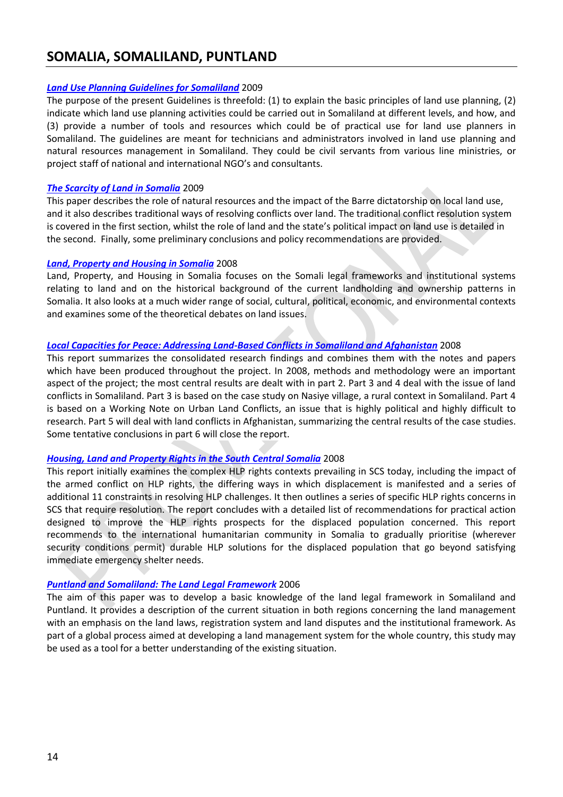# <span id="page-13-0"></span>**SOMALIA, SOMALILAND, PUNTLAND**

### *[Land Use Planning Guidelines for Somaliland](http://www.globalprotectioncluster.org/_assets/files/field_protection_clusters/Somalia/files/HLP%20AoR/Land_Use_Planning_Guidelines_2009_EN.pdf)* 2009

The purpose of the present Guidelines is threefold: (1) to explain the basic principles of land use planning, (2) indicate which land use planning activities could be carried out in Somaliland at different levels, and how, and (3) provide a number of tools and resources which could be of practical use for land use planners in Somaliland. The guidelines are meant for technicians and administrators involved in land use planning and natural resources management in Somaliland. They could be civil servants from various line ministries, or project staff of national and international NGO's and consultants.

### *[The Scarcity of Land in Somalia](http://www.globalprotectioncluster.org/_assets/files/field_protection_clusters/Somalia/files/HLP%20AoR/Scarcity_Land_Somalia_2009_EN.pdf)* 2009

This paper describes the role of natural resources and the impact of the Barre dictatorship on local land use, and it also describes traditional ways of resolving conflicts over land. The traditional conflict resolution system is covered in the first section, whilst the role of land and the state's political impact on land use is detailed in the second. Finally, some preliminary conclusions and policy recommendations are provided.

### *[Land, Property and Housing in Somalia](http://www.globalprotectioncluster.org/_assets/files/field_protection_clusters/Somalia/files/HLP%20AoR/Somalia_Land_Property_Housing_in_Somalia_2008_EN.pdf)* 2008

Land, Property, and Housing in Somalia focuses on the Somali legal frameworks and institutional systems relating to land and on the historical background of the current landholding and ownership patterns in Somalia. It also looks at a much wider range of social, cultural, political, economic, and environmental contexts and examines some of the theoretical debates on land issues.

## *[Local Capacities for Peace: Addressing Land-Based Conflicts in Somaliland and Afghanistan](http://www.globalprotectioncluster.org/_assets/files/field_protection_clusters/Somalia/files/HLP%20AoR/local_capacities_for_peace_2008_EN.pdf)* 2008

This report summarizes the consolidated research findings and combines them with the notes and papers which have been produced throughout the project. In 2008, methods and methodology were an important aspect of the project; the most central results are dealt with in part 2. Part 3 and 4 deal with the issue of land conflicts in Somaliland. Part 3 is based on the case study on Nasiye village, a rural context in Somaliland. Part 4 is based on a Working Note on Urban Land Conflicts, an issue that is highly political and highly difficult to research. Part 5 will deal with land conflicts in Afghanistan, summarizing the central results of the case studies. Some tentative conclusions in part 6 will close the report.

### *[Housing, Land and Property Rights in the South Central Somalia](http://www.globalprotectioncluster.org/_assets/files/field_protection_clusters/Somalia/files/HLP%20AoR/Preliminary_Assessment_Proposed_Strategies_2008_EN.pdf)* 2008

This report initially examines the complex HLP rights contexts prevailing in SCS today, including the impact of the armed conflict on HLP rights, the differing ways in which displacement is manifested and a series of additional 11 constraints in resolving HLP challenges. It then outlines a series of specific HLP rights concerns in SCS that require resolution. The report concludes with a detailed list of recommendations for practical action designed to improve the HLP rights prospects for the displaced population concerned. This report recommends to the international humanitarian community in Somalia to gradually prioritise (wherever security conditions permit) durable HLP solutions for the displaced population that go beyond satisfying immediate emergency shelter needs.

### *[Puntland and Somaliland: The Land Legal Framework](http://www.globalprotectioncluster.org/_assets/files/field_protection_clusters/Somalia/files/HLP%20AoR/Land_Legal_Framework_2006_EN.pdf)* 2006

The aim of this paper was to develop a basic knowledge of the land legal framework in Somaliland and Puntland. It provides a description of the current situation in both regions concerning the land management with an emphasis on the land laws, registration system and land disputes and the institutional framework. As part of a global process aimed at developing a land management system for the whole country, this study may be used as a tool for a better understanding of the existing situation.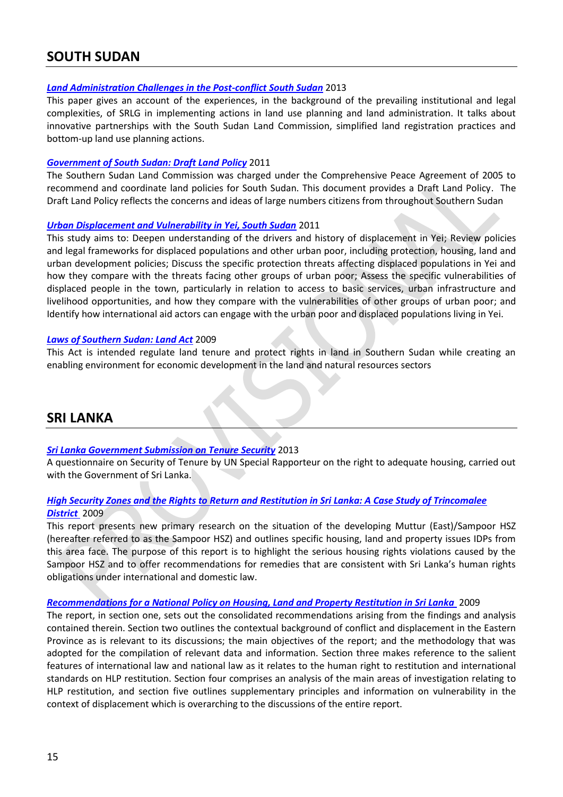# <span id="page-14-0"></span>**SOUTH SUDAN**

### *[Land Administration Challenges in the Post-conflict South Sudan](http://www.globalprotectioncluster.org/_assets/files/field_protection_clusters/South_Sudan/files/HLP%20AoR/Land_Administration_Challenges_In_Post_Conflict_South_Sudan_2013_EN.pdf)* 2013

This paper gives an account of the experiences, in the background of the prevailing institutional and legal complexities, of SRLG in implementing actions in land use planning and land administration. It talks about innovative partnerships with the South Sudan Land Commission, simplified land registration practices and bottom-up land use planning actions.

### *[Government of South Sudan: Draft Land Policy](http://www.globalprotectioncluster.org/_assets/files/field_protection_clusters/South_Sudan/files/HLP%20AoR/South_Sudan_Land_Policy_2011_EN.pdf)* 2011

The Southern Sudan Land Commission was charged under the Comprehensive Peace Agreement of 2005 to recommend and coordinate land policies for South Sudan. This document provides a Draft Land Policy. The Draft Land Policy reflects the concerns and ideas of large numbers citizens from throughout Southern Sudan

### *[Urban Displacement and Vulnerability in Yei, South Sudan](http://www.globalprotectioncluster.org/_assets/files/field_protection_clusters/South_Sudan/files/HLP%20AoR/Sanctuary_in_City_Urban_Discplacement_Vulnerability_South_Sudan_2011_EN.pdf)* 2011

This study aims to: Deepen understanding of the drivers and history of displacement in Yei; Review policies and legal frameworks for displaced populations and other urban poor, including protection, housing, land and urban development policies; Discuss the specific protection threats affecting displaced populations in Yei and how they compare with the threats facing other groups of urban poor; Assess the specific vulnerabilities of displaced people in the town, particularly in relation to access to basic services, urban infrastructure and livelihood opportunities, and how they compare with the vulnerabilities of other groups of urban poor; and Identify how international aid actors can engage with the urban poor and displaced populations living in Yei.

### *[Laws of Southern Sudan: Land Act](http://www.globalprotectioncluster.org/_assets/files/field_protection_clusters/South_Sudan/files/HLP%20AoR/South_Sudan_Land_Act_2009_EN.pdf)* 2009

This Act is intended regulate land tenure and protect rights in land in Southern Sudan while creating an enabling environment for economic development in the land and natural resources sectors

# <span id="page-14-1"></span>**SRI LANKA**

### *[Sri Lanka Government Submission on Tenure Security](http://www.ohchr.org/Documents/Issues/Housing/SecurityTenure/ResponseSriLanka04.06.2013.pdf)* 2013

A questionnaire on Security of Tenure by UN Special Rapporteur on the right to adequate housing, carried out with the Government of Sri Lanka.

# *[High Security Zones and the Rights to Return and Restitution in Sri Lanka: A Case Study of Trincomalee](http://www.sangam.org/2009/11/Return_Restitution.pdf)  [District](http://www.sangam.org/2009/11/Return_Restitution.pdf)* 2009

This report presents new primary research on the situation of the developing Muttur (East)/Sampoor HSZ (hereafter referred to as the Sampoor HSZ) and outlines specific housing, land and property issues IDPs from this area face. The purpose of this report is to highlight the serious housing rights violations caused by the Sampoor HSZ and to offer recommendations for remedies that are consistent with Sri Lanka's human rights obligations under international and domestic law.

### *[Recommendations for a National Policy on Housing, Land and Property Restitution in Sri Lanka](http://www.cohre.org/sites/default/files/recommendations_for_a_national_policy_on_hlp_restitution_in_sri_lanka_may_2009.pdf)* 2009

The report, in section one, sets out the consolidated recommendations arising from the findings and analysis contained therein. Section two outlines the contextual background of conflict and displacement in the Eastern Province as is relevant to its discussions; the main objectives of the report; and the methodology that was adopted for the compilation of relevant data and information. Section three makes reference to the salient features of international law and national law as it relates to the human right to restitution and international standards on HLP restitution. Section four comprises an analysis of the main areas of investigation relating to HLP restitution, and section five outlines supplementary principles and information on vulnerability in the context of displacement which is overarching to the discussions of the entire report.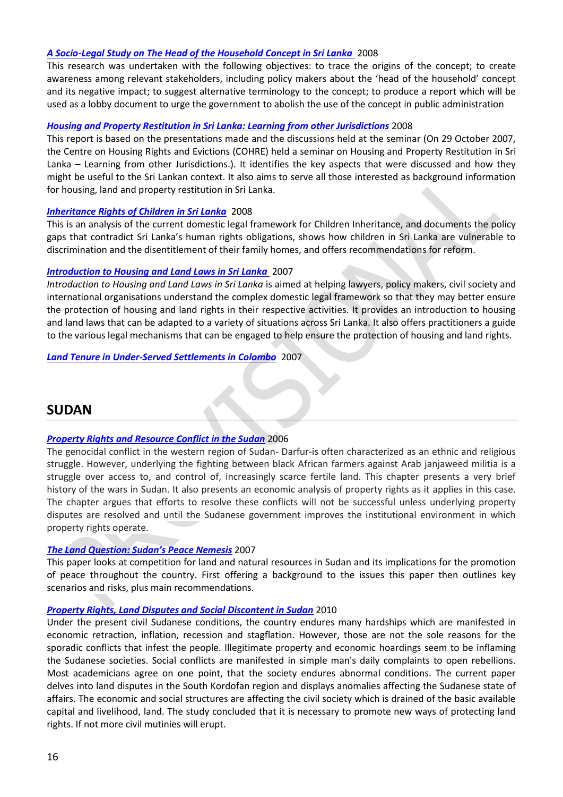### *[A Socio-Legal Study on The Head of the Household Concept in Sri Lanka](http://www.cohre.org/sites/default/files/a_socio-legal_study_of_the_head_of_the_household_concept_in_sri_lanka_0.pdf)* 2008

This research was undertaken with the following objectives: to trace the origins of the concept; to create awareness among relevant stakeholders, including policy makers about the 'head of the household' concept and its negative impact; to suggest alternative terminology to the concept; to produce a report which will be used as a lobby document to urge the government to abolish the use of the concept in public administration

### *[Housing and Property Restitution in Sri Lanka: Learning from other Jurisdictions](http://www.cohre.org/sites/default/files/housing_and_property_restitution_in_sri_lanka_-_learning_from_other_jurisdictions.pdf)* 2008

This report is based on the presentations made and the discussions held at the seminar (On 29 October 2007, the Centre on Housing Rights and Evictions (COHRE) held a seminar on Housing and Property Restitution in Sri Lanka – Learning from other Jurisdictions.). It identifies the key aspects that were discussed and how they might be useful to the Sri Lankan context. It also aims to serve all those interested as background information for housing, land and property restitution in Sri Lanka.

### *[Inheritance Rights of Children in Sri Lanka](http://www.cohre.org/sites/default/files/inheritance_rights_children_in_sri_lanka_2008.pdf)* 2008

This is an analysis of the current domestic legal framework for Children Inheritance, and documents the policy gaps that contradict Sri Lanka's human rights obligations, shows how children in Sri Lanka are vulnerable to discrimination and the disentitlement of their family homes, and offers recommendations for reform.

### *[Introduction to Housing and Land Laws in Sri Lanka](http://www.cohre.org/news/documents/an-introduction-to-housing-and-land-laws-in-sri-lanka)* 2007

*Introduction to Housing and Land Laws in Sri Lanka* is aimed at helping lawyers, policy makers, civil society and international organisations understand the complex domestic legal framework so that they may better ensure the protection of housing and land rights in their respective activities. It provides an introduction to housing and land laws that can be adapted to a variety of situations across Sri Lanka. It also offers practitioners a guide to the various legal mechanisms that can be engaged to help ensure the protection of housing and land rights.

### *[Land Tenure in Under-Served Settlements in Colombo](http://www.dpu-associates.net/system/files/Colombo+Land+Report.pdf)* 2007

# <span id="page-15-0"></span>**SUDAN**

### *[Property Rights and Resource Conflict in the Sudan](http://www.globalprotectioncluster.org/_assets/files/field_protection_clusters/Sudan/files/HLP%20AoR/Property_Rights_Conflict_South_Sudan_2006_EN.pdf)* 2006

The genocidal conflict in the western region of Sudan- Darfur-is often characterized as an ethnic and religious struggle. However, underlying the fighting between black African farmers against Arab janjaweed militia is a struggle over access to, and control of, increasingly scarce fertile land. This chapter presents a very brief history of the wars in Sudan. It also presents an economic analysis of property rights as it applies in this case. The chapter argues that efforts to resolve these conflicts will not be successful unless underlying property disputes are resolved and until the Sudanese government improves the institutional environment in which property rights operate.

### *[The Land Question: Sudan's Peace Nemesis](http://www.globalprotectioncluster.org/_assets/files/field_protection_clusters/Sudan/files/HLP%20AoR/The_Land_Question_Sudans_Peace_Nemesis_2007_EN.pdf)* 2007

This paper looks at competition for land and natural resources in Sudan and its implications for the promotion of peace throughout the country. First offering a background to the issues this paper then outlines key scenarios and risks, plus main recommendations.

### *[Property Rights, Land Disputes and Social Discontent in Sudan](http://www.globalprotectioncluster.org/_assets/files/field_protection_clusters/Sudan/files/HLP%20AoR/Property_Rights_Land_Disputes_Social_Discontent_Sudan_2012_AR.pdf)* 2010

Under the present civil Sudanese conditions, the country endures many hardships which are manifested in economic retraction, inflation, recession and stagflation. However, those are not the sole reasons for the sporadic conflicts that infest the people. Illegitimate property and economic hoardings seem to be inflaming the Sudanese societies. Social conflicts are manifested in simple man's daily complaints to open rebellions. Most academicians agree on one point, that the society endures abnormal conditions. The current paper delves into land disputes in the South Kordofan region and displays anomalies affecting the Sudanese state of affairs. The economic and social structures are affecting the civil society which is drained of the basic available capital and livelihood, land. The study concluded that it is necessary to promote new ways of protecting land rights. If not more civil mutinies will erupt.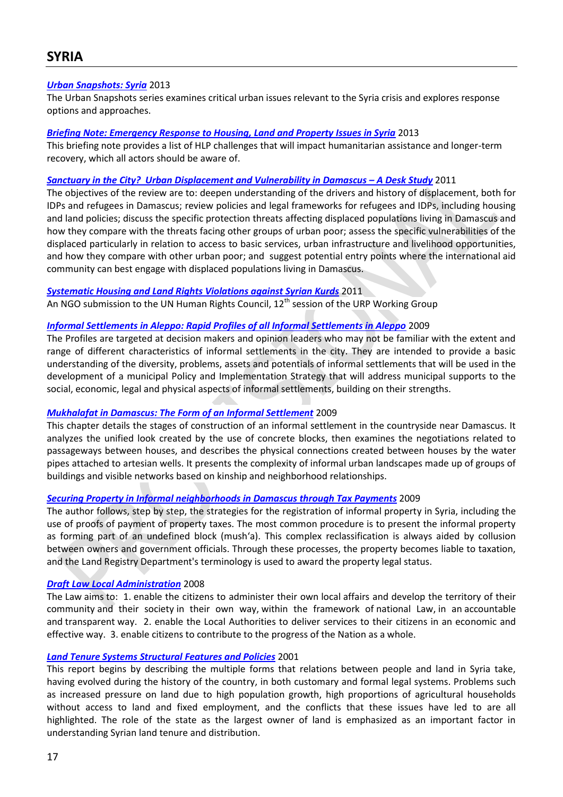## <span id="page-16-0"></span>*[Urban Snapshots: Syria](http://www.unhabitat.org/downloads/docs/UrbanSnapshots1.pdf)* 2013

The Urban Snapshots series examines critical urban issues relevant to the Syria crisis and explores response options and approaches.

### *[Briefing Note: Emergency Response to Housing, Land and Property Issues in Syria](http://reliefweb.int/sites/reliefweb.int/files/resources/Emergency%20response%20to%20Housing%20Land%20and%20Property%20issues%20in%20Syria.pdf)* 2013

This briefing note provides a list of HLP challenges that will impact humanitarian assistance and longer-term recovery, which all actors should be aware of.

### *[Sanctuary in the City? Urban Displacement](http://www.odi.org.uk/sites/odi.org.uk/files/odi-assets/publications-opinion-files/7494.pdf) and Vulnerability in Damascus – A Desk Study* 2011

The objectives of the review are to: deepen understanding of the drivers and history of displacement, both for IDPs and refugees in Damascus; review policies and legal frameworks for refugees and IDPs, including housing and land policies; discuss the specific protection threats affecting displaced populations living in Damascus and how they compare with the threats facing other groups of urban poor; assess the specific vulnerabilities of the displaced particularly in relation to access to basic services, urban infrastructure and livelihood opportunities, and how they compare with other urban poor; and suggest potential entry points where the international aid community can best engage with displaced populations living in Damascus.

### *Systematic Housing and Land [Rights Violations against Syrian Kurds](http://www.hic-net.org/news.php?pid=3822)* 2011

An NGO submission to the UN Human Rights Council,  $12^{th}$  session of the URP Working Group

### *[Informal Settlements in Aleppo: Rapid Profiles of all Informal Settlements in Aleppo](https://www.google.ch/url?sa=t&rct=j&q=&esrc=s&source=web&cd=2&cad=rja&ved=0CDUQFjAB&url=http%3A%2F%2Fwww.udp-aleppo.org%2Factions%2Fgetattach.php%3Fid%3D33&ei=OMTjUcy5Oouw4QT1lYCgBg&usg=AFQjCNEenUOCu6n1EPLb0-bvEyHoEPOoIQ&sig2=slpB0neVIl-B22Z9mjHtfA&bvm=bv)* 2009

The Profiles are targeted at decision makers and opinion leaders who may not be familiar with the extent and range of different characteristics of informal settlements in the city. They are intended to provide a basic understanding of the diversity, problems, assets and potentials of informal settlements that will be used in the development of a municipal Policy and Implementation Strategy that will address municipal supports to the social, economic, legal and physical aspects of informal settlements, building on their strengths.

### *[Mukhalafat in Damascus: The Form of an Informal Settlement](http://cairo.universitypressscholarship.com/view/10.5743/cairo/9789774165405.001.0001/upso-9789774165405-chapter-2)* 2009

This chapter details the stages of construction of an informal settlement in the countryside near Damascus. It analyzes the unified look created by the use of concrete blocks, then examines the negotiations related to passageways between houses, and describes the physical connections created between houses by the water pipes attached to artesian wells. It presents the complexity of informal urban landscapes made up of groups of buildings and visible networks based on kinship and neighborhood relationships.

### *[Securing Property in Informal neighborhoods](http://cairo.universitypressscholarship.com/view/10.5743/cairo/9789774165405.001.0001/upso-9789774165405-chapter-4) in Damascus through Tax Payments* 2009

The author follows, step by step, the strategies for the registration of informal property in Syria, including the use of proofs of payment of property taxes. The most common procedure is to present the informal property as forming part of an undefined block (mush'a). This complex reclassification is always aided by collusion between owners and government officials. Through these processes, the property becomes liable to taxation, and the Land Registry Department's terminology is used to award the property legal status.

### *[Draft Law Local Administration](http://www.mam-sy.org/userfiles/file/AP1/Law-Local-Admin-eng.pdf)* 2008

The Law aims to: 1. enable the citizens to administer their own local affairs and develop the territory of their community and their society in their own way, within the framework of national Law, in an accountable and transparent way. 2. enable the Local Authorities to deliver services to their citizens in an economic and effective way. 3. enable citizens to contribute to the progress of the Nation as a whole.

### *[Land Tenure Systems Structural Features and Policies](http://www.fao.org/world/syria/gcpita/pubs/policystudies/08-LandTenure-En.pdf)* 2001

This report begins by describing the multiple forms that relations between people and land in Syria take, having evolved during the history of the country, in both customary and formal legal systems. Problems such as increased pressure on land due to high population growth, high proportions of agricultural households without access to land and fixed employment, and the conflicts that these issues have led to are all highlighted. The role of the state as the largest owner of land is emphasized as an important factor in understanding Syrian land tenure and distribution.